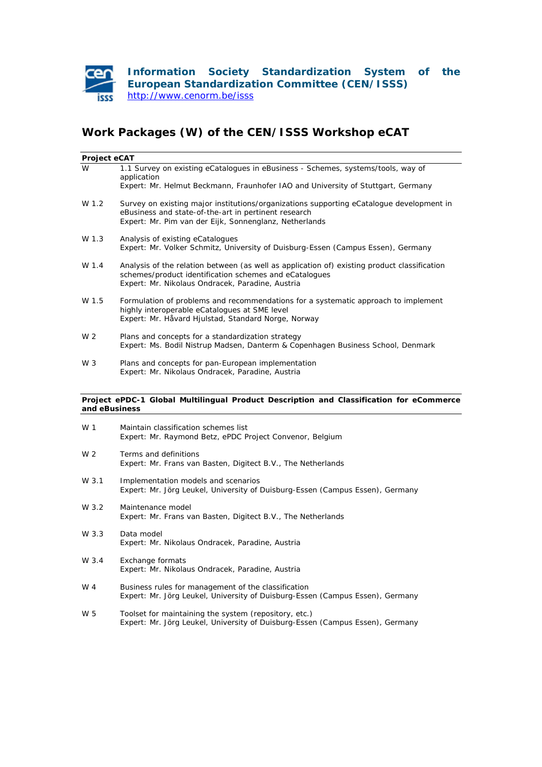

## **Work Packages (W) of the CEN/ISSS Workshop eCAT**

| Project eCAT                                                                                             |                                                                                                                                                                                                            |  |
|----------------------------------------------------------------------------------------------------------|------------------------------------------------------------------------------------------------------------------------------------------------------------------------------------------------------------|--|
| W                                                                                                        | 1.1 Survey on existing eCatalogues in eBusiness - Schemes, systems/tools, way of<br>application                                                                                                            |  |
|                                                                                                          | Expert: Mr. Helmut Beckmann, Fraunhofer IAO and University of Stuttgart, Germany                                                                                                                           |  |
| W 1.2                                                                                                    | Survey on existing major institutions/organizations supporting eCatalogue development in<br>eBusiness and state-of-the-art in pertinent research<br>Expert: Mr. Pim van der Eijk, Sonnenglanz, Netherlands |  |
| W 1.3                                                                                                    | Analysis of existing eCatalogues<br>Expert: Mr. Volker Schmitz, University of Duisburg-Essen (Campus Essen), Germany                                                                                       |  |
| W 1.4                                                                                                    | Analysis of the relation between (as well as application of) existing product classification<br>schemes/product identification schemes and eCatalogues<br>Expert: Mr. Nikolaus Ondracek, Paradine, Austria |  |
| W 1.5                                                                                                    | Formulation of problems and recommendations for a systematic approach to implement<br>highly interoperable eCatalogues at SME level<br>Expert: Mr. Håvard Hjulstad, Standard Norge, Norway                 |  |
| W 2                                                                                                      | Plans and concepts for a standardization strategy<br>Expert: Ms. Bodil Nistrup Madsen, Danterm & Copenhagen Business School, Denmark                                                                       |  |
| W 3                                                                                                      | Plans and concepts for pan-European implementation<br>Expert: Mr. Nikolaus Ondracek, Paradine, Austria                                                                                                     |  |
| Project ePDC-1 Global Multilingual Product Description and Classification for eCommerce<br>and eBusiness |                                                                                                                                                                                                            |  |

- W 1 Maintain classification schemes list Expert: Mr. Raymond Betz, ePDC Project Convenor, Belgium
- W 2 Terms and definitions Expert: Mr. Frans van Basten, Digitect B.V., The Netherlands
- W 3.1 Implementation models and scenarios Expert: Mr. Jörg Leukel, University of Duisburg-Essen (Campus Essen), Germany
- W 3.2 Maintenance model Expert: Mr. Frans van Basten, Digitect B.V., The Netherlands
- W 3.3 Data model Expert: Mr. Nikolaus Ondracek, Paradine, Austria
- W 3.4 Exchange formats Expert: Mr. Nikolaus Ondracek, Paradine, Austria
- W 4 Business rules for management of the classification Expert: Mr. Jörg Leukel, University of Duisburg-Essen (Campus Essen), Germany
- W 5 Toolset for maintaining the system (repository, etc.) Expert: Mr. Jörg Leukel, University of Duisburg-Essen (Campus Essen), Germany